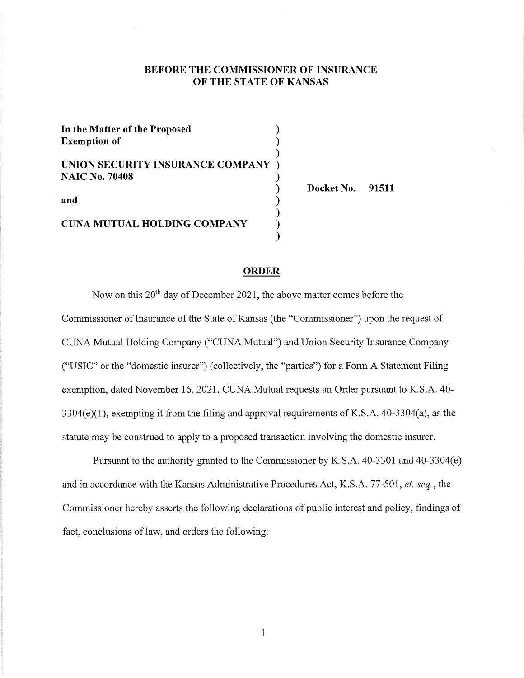#### **BEFORE THE COMMISSIONER OF INSURANCE OF THE STATE OF KANSAS**

| In the Matter of the Proposed<br><b>Exemption of</b> |  |
|------------------------------------------------------|--|
|                                                      |  |
| UNION SECURITY INSURANCE COMPANY                     |  |
| <b>NAIC No. 70408</b>                                |  |
| and                                                  |  |
| <b>CUNA MUTUAL HOLDING COMPANY</b>                   |  |
|                                                      |  |

**Docket No. 91511** 

#### **ORDER**

Now on this 20<sup>th</sup> day of December 2021, the above matter comes before the Commissioner of Insurance of the State of Kansas (the "Commissioner") upon the request of CUNA Mutual Holding Company ("CUNA Mutual") and Union Security Insurance Company ("USIC" or the "domestic insurer") ( collectively, the "parties") for a Form A Statement Filing exemption, dated November 16, 2021. CUNA Mutual requests an Order pursuant to K.S.A. 40-  $3304(e)(1)$ , exempting it from the filing and approval requirements of K.S.A.  $40-3304(a)$ , as the statute may be construed to apply to a proposed transaction involving the domestic insurer.

Pursuant to the authority granted to the Commissioner by K.S.A. 40-3301 and 40-3304(e) and in accordance with the Kansas Administrative Procedures Act, K.S.A. 77-501, *et. seq.,* the Commissioner hereby asserts the following declarations of public interest and policy, findings of fact, conclusions of law, and orders the following: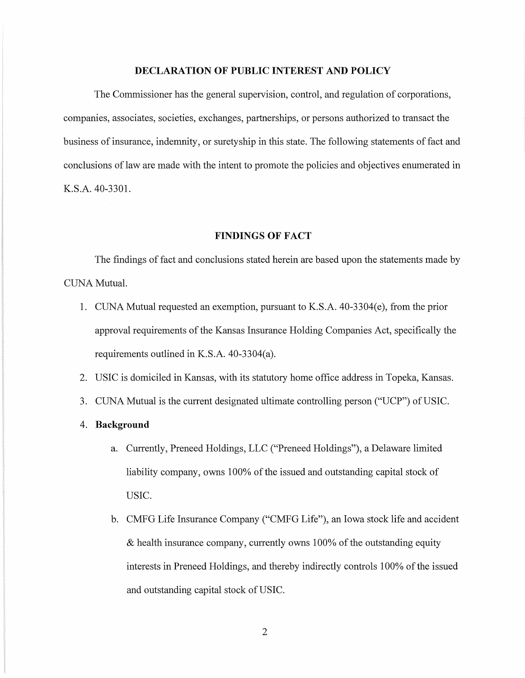### **DECLARATION OF PUBLIC INTEREST AND POLICY**

The Commissioner has the general supervision, control, and regulation of corporations, companies, associates, societies, exchanges, partnerships, or persons authorized to transact the business of insurance, indemnity, or surety ship in this state. The following statements of fact and conclusions of law are made with the intent to promote the policies and objectives enumerated in K.S.A. 40-3301.

#### **FINDINGS OF FACT**

The findings of fact and conclusions stated herein are based upon the statements made by CUNA Mutual.

- 1. CUNA Mutual requested an exemption, pursuant to K.S.A. 40-3304(e), from the prior approval requirements of the Kansas Insurance Holding Companies Act, specifically the requirements outlined in K.S.A. 40-3304(a).
- 2. USIC is domiciled in Kansas, with its statutory home office address in Topeka, Kansas.
- 3. CUNA Mutual is the current designated ultimate controlling person ("UCP") of USIC.
- 4. **Background** 
	- a. Currently, Preneed Holdings, LLC ("Preneed Holdings"), a Delaware limited liability company, owns 100% of the issued and outstanding capital stock of USIC.
	- b. CMFG Life Insurance Company ("CMFG Life"), an Iowa stock life and accident  $&$  health insurance company, currently owns 100% of the outstanding equity interests in Preneed Holdings, and thereby indirectly controls 100% of the issued and outstanding capital stock of USIC.

2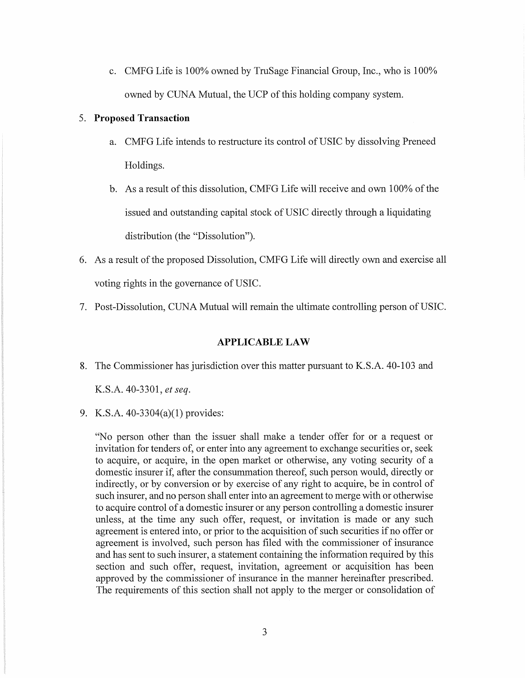c. CMFG Life is 100% owned by TruSage Financial Group, Inc., who is 100% owned by CUNA Mutual, the UCP of this holding company system.

#### 5. **Proposed Transaction**

- a. CMFG Life intends to restructure its control of USIC by dissolving Preneed Holdings.
- b. As a result of this dissolution, CMFG Life will receive and own 100% of the issued and outstanding capital stock of USIC directly through a liquidating distribution (the "Dissolution").
- 6. As a result of the proposed Dissolution, CMFG Life will directly own and exercise all voting rights in the governance of USIC.
- 7. Post-Dissolution, CUNA Mutual will remain the ultimate controlling person of USIC.

#### **APPLICABLE LAW**

8. The Commissioner has jurisdiction over this matter pursuant to K.S.A. 40-103 and

K.S.A. 40-3301, *et seq.* 

9. K.S.A. 40-3304(a)(l) provides:

"No person other than the issuer shall make a tender offer for or a request or invitation for tenders of, or enter into any agreement to exchange securities or, seek to acquire, or acquire, in the open market or otherwise, any voting security of a domestic insurer if, after the consummation thereof, such person would, directly or indirectly, or by conversion or by exercise of any right to acquire, be in control of such insurer, and no person shall enter into an agreement to merge with or otherwise to acquire control of a domestic insurer or any person controlling a domestic insurer unless, at the time any such offer, request, or invitation is made or any such agreement is entered into, or prior to the acquisition of such securities if no offer or agreement is involved, such person has filed with the commissioner of insurance and has sent to such insurer, a statement containing the information required by this section and such offer, request, invitation, agreement or acquisition has been approved by the commissioner of insurance in the manner hereinafter prescribed. The requirements of this section shall not apply to the merger or consolidation of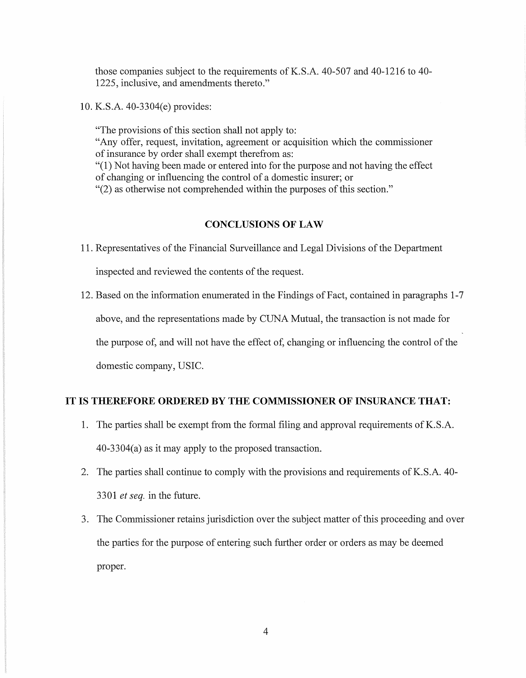those companies subject to the requirements of K.S.A. 40-507 and 40-1216 to 40- 1225, inclusive, and amendments thereto."

10. K.S.A. 40-3304(e) provides:

"The provisions of this section shall not apply to: "Any offer, request, invitation, agreement or acquisition which the commissioner of insurance by order shall exempt therefrom as: "(1) Not having been made or entered into for the purpose and not having the effect of changing or influencing the control of a domestic insurer; or "(2) as otherwise not comprehended within the purposes of this section."

#### **CONCLUSIONS OF LAW**

- 11. Representatives of the Financial Surveillance and Legal Divisions of the Department inspected and reviewed the contents of the request.
- 12. Based on the information enumerated in the Findings of Fact, contained in paragraphs 1-7 above, and the representations made by CUNA Mutual, the transaction is not made for the purpose of, and will not have the effect of, changing or influencing the control of the domestic company, USIC.

## **IT IS THEREFORE ORDERED BY THE COMMISSIONER OF INSURANCE THAT:**

- 1. The parties shall be exempt from the formal filing and approval requirements of K. S .A. 40-3304(a) as it may apply to the proposed transaction.
- 2. The parties shall continue to comply with the provisions and requirements of K.S.A. 40-3301 *et seq.* in the future.
- 3. The Commissioner retains jurisdiction over the subject matter of this proceeding and over the parties for the purpose of entering such further order or orders as may be deemed proper.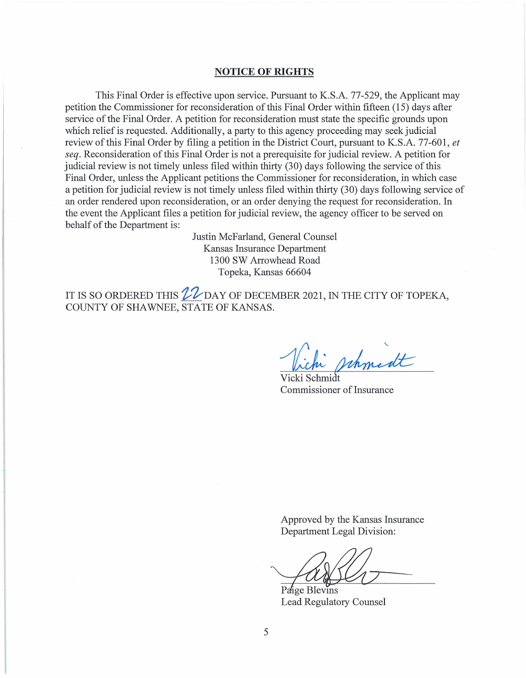#### **NOTICE OF RIGHTS**

This Final Order is effective upon service. Pursuant to K.S.A. 77-529, the Applicant may petition the Commissioner for reconsideration of this Final Order within fifteen (15) days after service of the Final Order. A petition for reconsideration must state the specific grounds upon which relief is requested. Additionally, a party to this agency proceeding may seek judicial review of this Final Order by filing a petition in the District Court, pursuant to K.S.A. 77-601, *et seq.* Reconsideration of this Final Order is not a prerequisite for judicial review. A petition for judicial review is not timely unless filed within thirty (30) days following the service of this Final Order, unless the Applicant petitions the Commissioner for reconsideration, in which case a petition for judicial review is not timely unless filed within thirty (30) days following service of an order rendered upon reconsideration, or an order denying the request for reconsideration. In the event the Applicant files a petition for judicial review, the agency officer to be served on behalf of the Department is:

> Justin McFarland, General Counsel Kansas Insurance Department 1300 SW Arrowhead Road Topeka, Kansas 66604

IT IS SO ORDERED THIS  $22$  DAY OF DECEMBER 2021, IN THE CITY OF TOPEKA, COUNTY OF SHAWNEE, STATE OF KANSAS.

Vichi pch

Vicki Schmidt Commissioner of Insurance

Approved by the Kansas Insurance Department Legal Division:

 $-$ and  $\mathcal{U}$ 

Lead Regulatory Counsel